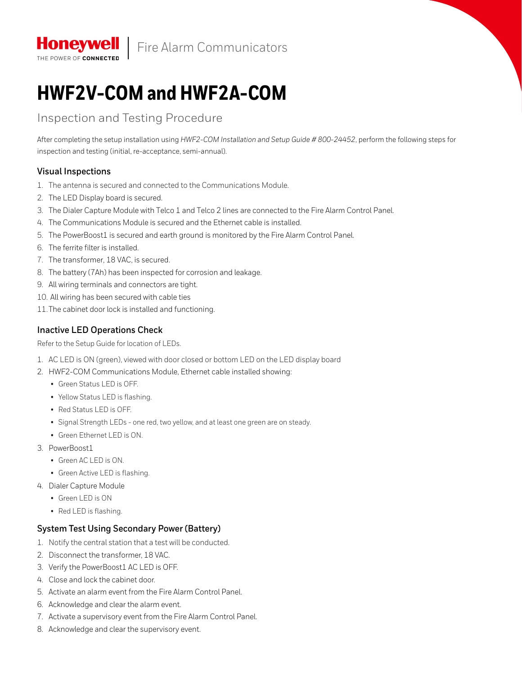

# **HWF2V-COM and HWF2A-COM**

# Inspection and Testing Procedure

After completing the setup installation using *HWF2-COM Installation and Setup Guide # 800-24452*, perform the following steps for inspection and testing (initial, re-acceptance, semi-annual).

## **Visual Inspections**

THE POWER OF CONNECTED

- 1. The antenna is secured and connected to the Communications Module.
- 2. The LED Display board is secured.
- 3. The Dialer Capture Module with Telco 1 and Telco 2 lines are connected to the Fire Alarm Control Panel.
- 4. The Communications Module is secured and the Ethernet cable is installed.
- 5. The PowerBoost1 is secured and earth ground is monitored by the Fire Alarm Control Panel.
- 6. The ferrite filter is installed.
- 7. The transformer, 18 VAC, is secured.
- 8. The battery (7Ah) has been inspected for corrosion and leakage.
- 9. All wiring terminals and connectors are tight.
- 10. All wiring has been secured with cable ties
- 11.The cabinet door lock is installed and functioning.

## **Inactive LED Operations Check**

Refer to the Setup Guide for location of LEDs.

- 1. AC LED is ON (green), viewed with door closed or bottom LED on the LED display board
- 2. HWF2-COM Communications Module, Ethernet cable installed showing:
	- Green Status LED is OFF.
	- Yellow Status LED is flashing.
	- Red Status LED is OFF.
	- Signal Strength LEDs one red, two yellow, and at least one green are on steady.
	- Green Ethernet LED is ON.
- 3. PowerBoost1
	- Green AC LED is ON.
	- Green Active LED is flashing.
- 4. Dialer Capture Module
	- Green LED is ON
	- Red LED is flashing.

#### **System Test Using Secondary Power (Battery)**

- 1. Notify the central station that a test will be conducted.
- 2. Disconnect the transformer, 18 VAC.
- 3. Verify the PowerBoost1 AC LED is OFF.
- 4. Close and lock the cabinet door.
- 5. Activate an alarm event from the Fire Alarm Control Panel.
- 6. Acknowledge and clear the alarm event.
- 7. Activate a supervisory event from the Fire Alarm Control Panel.
- 8. Acknowledge and clear the supervisory event.